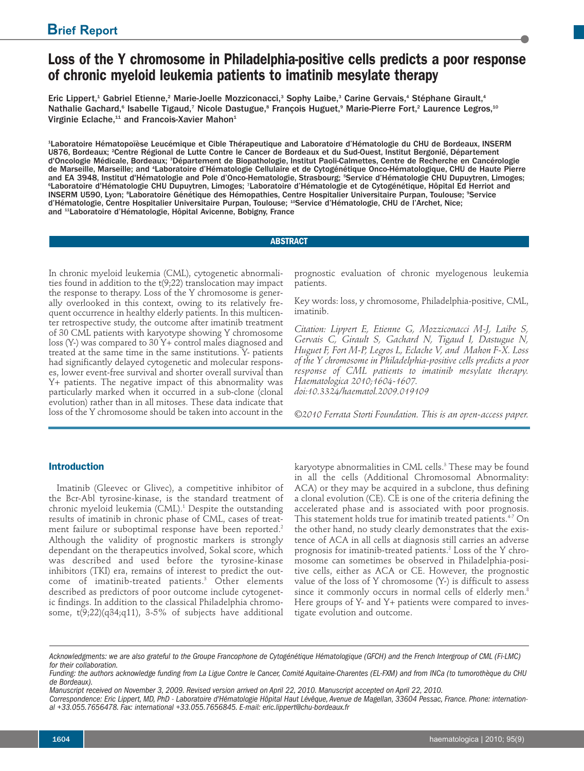# **Loss of the Y chromosome in Philadelphia-positive cells predicts a poor response of chronic myeloid leukemia patients to imatinib mesylate therapy**

Eric Lippert,<sup>1</sup> Gabriel Etienne,<sup>2</sup> Marie-Joelle Mozziconacci,<sup>3</sup> Sophy Laibe,<sup>3</sup> Carine Gervais,<sup>4</sup> Stéphane Girault,<sup>4</sup> Nathalie Gachard,<sup>e</sup> Isabelle Tigaud,<sup>7</sup> Nicole Dastugue,<sup>s</sup> François Huguet,° Marie-Pierre Fort,<sup>2</sup> Laurence Legros,<sup>10</sup> Virginie Eclache,<sup>11</sup> and Francois-Xavier Mahon<sup>1</sup>

1 Laboratoire Hématopoïèse Leucémique et Cible Thérapeutique and Laboratoire d'Hématologie du CHU de Bordeaux, INSERM U876, Bordeaux; <sup>2</sup> Centre Régional de Lutte Contre le Cancer de Bordeaux et du Sud-Ouest, Institut Bergonié, Département d'Oncologie Médicale, Bordeaux; <sup>a</sup>Département de Biopathologie, Institut Paoli-Calmettes, Centre de Recherche en Cancérologie de Marseille, Marseille; and 'Laboratoire d'Hématologie Cellulaire et de Cytogénétique Onco-Hématologique, CHU de Haute Pierre and EA 3948, Institut d'Hématologie and Pole d'Onco-Hematologie, Strasbourg; <sup>5</sup> Service d'Hématologie CHU Dupuytren, Limoges; °Laboratoire d'Hématologie CHU Dupuytren, Limoges; 7Laboratoire d'Hématologie et de Cytogénétique, Hôpital Ed Herriot and INSERM U590, Lyon; <sup>s</sup>Laboratoire Génétique des Hémopathies, Centre Hospitalier Universitaire Purpan, Toulouse; °Service d'Hématologie, Centre Hospitalier Universitaire Purpan, Toulouse; <sup>10</sup>Service d'Hématologie, CHU de l'Archet, Nice; and <sup>11</sup> Laboratoire d'Hématologie, Hôpital Avicenne, Bobigny, France

# **ABSTRACT**

In chronic myeloid leukemia (CML), cytogenetic abnormalities found in addition to the t(9;22) translocation may impact the response to therapy. Loss of the Y chromosome is generally overlooked in this context, owing to its relatively frequent occurrence in healthy elderly patients. In this multicenter retrospective study, the outcome after imatinib treatment of 30 CML patients with karyotype showing Y chromosome loss (Y-) was compared to 30 Y+ control males diagnosed and treated at the same time in the same institutions. Y- patients had significantly delayed cytogenetic and molecular responses, lower event-free survival and shorter overall survival than Y+ patients. The negative impact of this abnormality was particularly marked when it occurred in a sub-clone (clonal evolution) rather than in all mitoses. These data indicate that loss of the Y chromosome should be taken into account in the

**Introduction**

Imatinib (Gleevec or Glivec), a competitive inhibitor of the Bcr-Abl tyrosine-kinase, is the standard treatment of chronic myeloid leukemia (CML). <sup>1</sup> Despite the outstanding results of imatinib in chronic phase of CML, cases of treatment failure or suboptimal response have been reported. 2 Although the validity of prognostic markers is strongly dependant on the therapeutics involved, Sokal score, which was described and used before the tyrosine-kinase inhibitors (TKI) era, remains of interest to predict the outcome of imatinib-treated patients. <sup>3</sup> Other elements described as predictors of poor outcome include cytogenetic findings. In addition to the classical Philadelphia chromosome,  $t(9;22)(q34;q11)$ , 3-5% of subjects have additional

prognostic evaluation of chronic myelogenous leukemia patients.

Key words: loss, y chromosome, Philadelphia-positive, CML, imatinib.

*Citation: Lippert E, Etienne G, Mozziconacci M-J, Laibe S, Gervais C, Girault S, Gachard N, Tigaud I, Dastugue N, Huguet F, Fort M-P, Legros L, Eclache V, and Mahon F-X. Loss of the Y chromosome in Philadelphia-positive cells predicts a poor response of CML patients to imatinib mesylate therapy. Haematologica 2010;1604-1607. doi:10.3324/haematol.2009.019109*

*©2010 Ferrata Storti Foundation. This is an open-access paper.*

karyotype abnormalities in CML cells. <sup>3</sup> These may be found in all the cells (Additional Chromosomal Abnormality: ACA) or they may be acquired in a subclone, thus defining a clonal evolution (CE). CE is one of the criteria defining the accelerated phase and is associated with poor prognosis. This statement holds true for imatinib treated patients. 4-7 On the other hand, no study clearly demonstrates that the existence of ACA in all cells at diagnosis still carries an adverse prognosis for imatinib-treated patients. <sup>2</sup> Loss of the Y chromosome can sometimes be observed in Philadelphia-positive cells, either as ACA or CE. However, the prognostic value of the loss of Y chromosome (Y-) is difficult to assess since it commonly occurs in normal cells of elderly men. 8 Here groups of Y- and Y+ patients were compared to investigate evolution and outcome.

Acknowledgments: we are also grateful to the Groupe Francophone de Cytogénétique Hématologique (GFCH) and the French Intergroup of CML (Fi-LMC) *for their collaboration.*

Funding: the authors acknowledge funding from La Ligue Contre le Cancer, Comité Aquitaine-Charentes (EL-FXM) and from INCa (to tumorothèque du CHU *de Bordeaux).*

Manuscript received on November 3, 2009. Revised version arrived on April 22, 2010. Manuscript accepted on April 22, 2010.

Correspondence: Eric Lippert, MD, PhD - Laboratoire d'Hématologie Hôpital Haut Lévêque, Avenue de Magellan, 33604 Pessac, France. Phone: internation*al +33.055.7656478. Fax: international +33.055.7656845. E-mail: eric.lippert@chu-bordeaux.fr*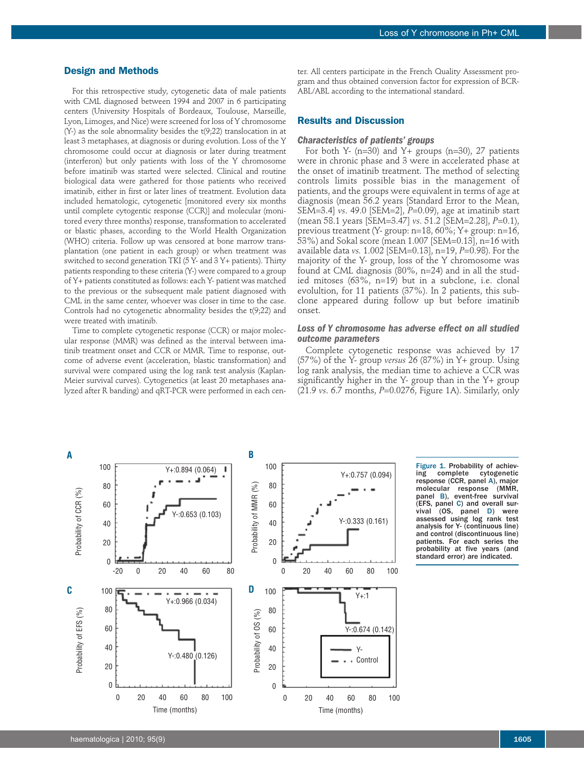# **Design and Methods**

For this retrospective study, cytogenetic data of male patients with CML diagnosed between 1994 and 2007 in 6 participating centers (University Hospitals of Bordeaux, Toulouse, Marseille, Lyon, Limoges, and Nice) were screened for loss of Y chromosome (Y-) as the sole abnormality besides the t(9;22) translocation in at least 3 metaphases, at diagnosis or during evolution. Loss of the Y chromosome could occur at diagnosis or later during treatment (interferon) but only patients with loss of the Y chromosome before imatinib was started were selected. Clinical and routine biological data were gathered for those patients who received imatinib, either in first or later lines of treatment. Evolution data included hematologic, cytogenetic [monitored every six months until complete cytogentic response (CCR)] and molecular (monitored every three months) response, transformation to accelerated or blastic phases, according to the World Health Organization (WHO) criteria. Follow up was censored at bone marrow transplantation (one patient in each group) or when treatment was switched to second generation TKI (5 Y- and 3 Y+ patients). Thirty patients responding to these criteria (Y-) were compared to a group of Y+ patients constituted as follows: each Y- patient was matched to the previous or the subsequent male patient diagnosed with CML in the same center, whoever was closer in time to the case. Controls had no cytogenetic abnormality besides the t(9;22) and were treated with imatinib.

Time to complete cytogenetic response (CCR) or major molecular response (MMR) was defined as the interval between imatinib treatment onset and CCR or MMR. Time to response, outcome of adverse event (acceleration, blastic transformation) and survival were compared using the log rank test analysis (Kaplan-Meier survival curves). Cytogenetics (at least 20 metaphases analyzed after R banding) and qRT-PCR were performed in each cen-

ter. All centers participate in the French Quality Assessment program and thus obtained conversion factor for expression of BCR-ABL/ABL according to the international standard.

## **Results and Discussion**

#### *Characteristics of patients' groups*

For both Y- (n=30) and Y+ groups (n=30), 27 patients were in chronic phase and 3 were in accelerated phase at the onset of imatinib treatment. The method of selecting controls limits possible bias in the management of patients, and the groups were equivalent in terms of age at diagnosis (mean 56.2 years [Standard Error to the Mean, SEM=3.4] *vs*. 49.0 [SEM=2], *P*=0.09), age at imatinib start (mean 58.1 years [SEM=3.47] *vs*. 51.2 [SEM=2.28], *P*=0.1), previous treatment (Y- group: n=18, 60%; Y+ group: n=16, 53%) and Sokal score (mean 1.007 [SEM=0.13], n=16 with available data *vs.* 1.002 [SEM=0.13], n=19, *P*=0.98). For the majority of the Y- group, loss of the Y chromosome was found at CML diagnosis (80%, n=24) and in all the studied mitoses (63%, n=19) but in a subclone, i.e. clonal evolultion, for 11 patients (37%). In 2 patients, this subclone appeared during follow up but before imatinib onset.

## *Loss of Y chromosome has adverse effect on all studied outcome parameters*

Complete cytogenetic response was achieved by 17 (57%) of the Y- group *versus* 26 (87%) in Y+ group. Using log rank analysis, the median time to achieve a CCR was significantly higher in the Y- group than in the Y+ group (21.9 *vs*. 6.7 months, *P*=0.0276, Figure 1A). Similarly, only



Figure 1. Probability of achiev-<br>ing complete cytogenetic cytogenetic response (CCR, panel A), major<br>molecular response (MMR, response panel B), event-free survival (EFS, panel C) and overall survival (OS, panel D) were assessed using log rank test analysis for Y- (continuous line) and control (discontinuous line) patients. For each series the probability at five years (and standard error) are indicated.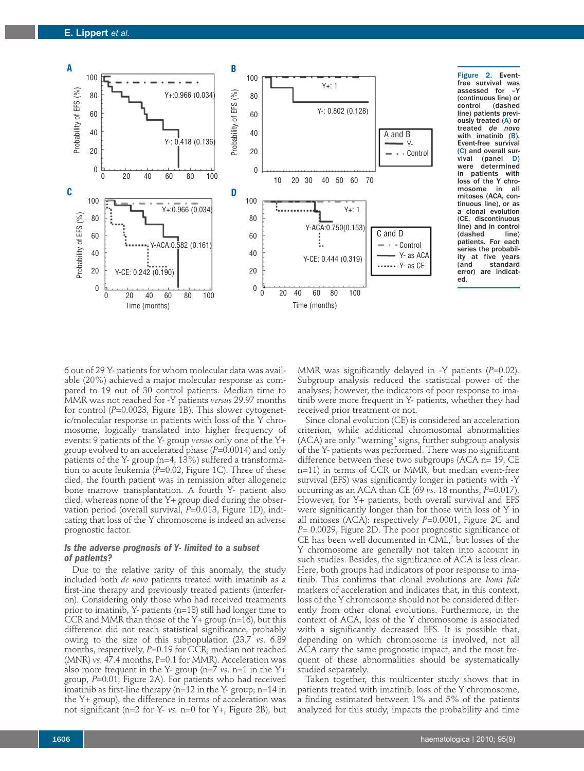

Figure 2. Eventfree survival was assessed for –Y (continuous line) or (dashed line) patients previously treated (A) or treated *de novo* with imatinib (B). Event-free survival  $(C)$  and overall sur-<br>vival (panel D) vival (panel<br>were determ determined in patients with loss of the Y chro-<br>mosome in all mosome mitoses (ACA, continuous line), or as a clonal evolution (CE, discontinuous line) and in control<br>(dashed line)  $(dashed)$ patients. For each series the probability at five years<br>(and standard standard error) are indicated.

6 out of 29 Y- patients for whom molecular data was available (20%) achieved a major molecular response as compared to 19 out of 30 control patients. Median time to MMR was not reached for -Y patients *versus* 29.97 months for control (*P*=0.0023, Figure 1B). This slower cytogenetic/molecular response in patients with loss of the Y chromosome, logically translated into higher frequency of events: 9 patients of the Y- group *versus* only one of the Y+ group evolved to an accelerated phase (*P*=0.0014) and only patients of the Y- group (n=4, 13%) suffered a transformation to acute leukemia (P=0.02, Figure 1C). Three of these died, the fourth patient was in remission after allogeneic bone marrow transplantation. A fourth Y- patient also died, whereas none of the Y+ group died during the observation period (overall survival, *P*=0.013, Figure 1D), indicating that loss of the Y chromosome is indeed an adverse prognostic factor.

# *Is the adverse prognosis of Y- limited to a subset of patients?*

Due to the relative rarity of this anomaly, the study included both *de novo* patients treated with imatinib as a first-line therapy and previously treated patients (interferon). Considering only those who had received treatments prior to imatinib, Y- patients (n=18) still had longer time to CCR and MMR than those of the  $Y+$  group (n=16), but this difference did not reach statistical significance, probably owing to the size of this subpopulation (23.7 *vs*. 6.89 months, respectively, *P*=0.19 for CCR; median not reached (MNR) *vs.* 47.4 months, P=0.1 for MMR). Acceleration was also more frequent in the Y- group (n=7 *vs*. n=1 in the Y+ group, *P*=0.01; Figure 2A). For patients who had received imatinib as first-line therapy (n=12 in the Y- group; n=14 in the Y+ group), the difference in terms of acceleration was not significant (n=2 for Y- *vs.* n=0 for Y+, Figure 2B), but MMR was significantly delayed in -Y patients (*P*=0.02). Subgroup analysis reduced the statistical power of the analyses; however, the indicators of poor response to imatinib were more frequent in Y- patients, whether they had received prior treatment or not.

Since clonal evolution (CE) is considered an acceleration criterion, while additional chromosomal abnormalities (ACA) are only "warning" signs, further subgroup analysis of the Y- patients was performed. There was no significant difference between these two subgroups (ACA n= 19, CE n=11) in terms of CCR or MMR, but median event-free survival (EFS) was significantly longer in patients with -Y occurring as an ACA than CE (69 *vs*. 18 months, *P*=0.017). However, for Y+ patients, both overall survival and EFS were significantly longer than for those with loss of Y in all mitoses (ACA): respectively *P*=0.0001, Figure 2C and *P*= 0.0029, Figure 2D. The poor prognostic significance of CE has been well documented in CML, <sup>7</sup> but losses of the Y chromosome are generally not taken into account in such studies. Besides, the significance of ACA is less clear. Here, both groups had indicators of poor response to imatinib. This confirms that clonal evolutions are *bona fide* markers of acceleration and indicates that, in this context, loss of the Y chromosome should not be considered differently from other clonal evolutions. Furthermore, in the context of ACA, loss of the Y chromosome is associated with a significantly decreased EFS. It is possible that, depending on which chromosome is involved, not all ACA carry the same prognostic impact, and the most frequent of these abnormalities should be systematically studied separately.

Taken together, this multicenter study shows that in patients treated with imatinib, loss of the Y chromosome, a finding estimated between 1% and 5% of the patients analyzed for this study, impacts the probability and time